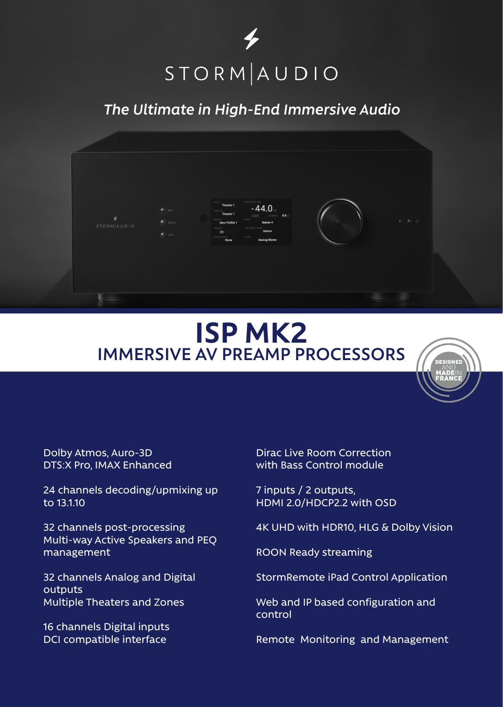

## *The Ultimate in High-End Immersive Audio*



## **ISP MK2 IMMERSIVE AV PREAMP PROCESSORS**



Dolby Atmos, Auro-3D DTS:X Pro, IMAX Enhanced

24 channels decoding/upmixing up to 13.1.10

32 channels post-processing Multi-way Active Speakers and PEQ management

32 channels Analog and Digital outputs Multiple Theaters and Zones

16 channels Digital inputs DCI compatible interface

Dirac Live Room Correction with Bass Control module

7 inputs / 2 outputs, HDMI 2.0/HDCP2.2 with OSD

4K UHD with HDR10, HLG & Dolby Vision

ROON Ready streaming

StormRemote iPad Control Application

Web and IP based configuration and control

Remote Monitoring and Management